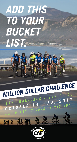# *ADD THIS TO YOUR BUCKET LIST.*

# *million Dollar challenge*

SAN FRANCISCO - SAN DIEGO<br>OCTOBER 14 - 20, 2017 *OCTOBER* 14 - 20, 2017 *<sup>620</sup><sup>M</sup> ILES. 7 DAYS. 1 M ISSI<sup>O</sup> <sup>N</sup> .*

22 22

然名角